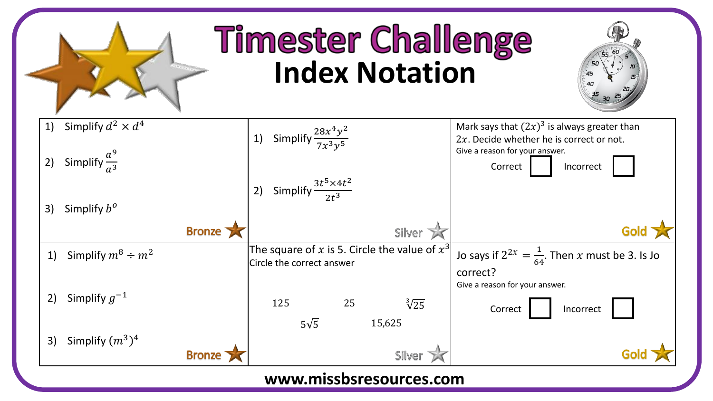